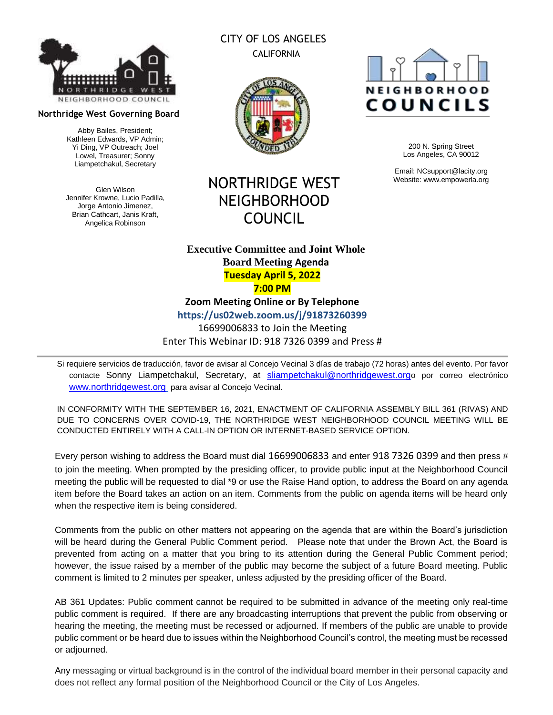

#### **Northridge West Governing Board**

Abby Bailes, President; Kathleen Edwards, VP Admin; Yi Ding, VP Outreach; Joel Lowel, Treasurer; Sonny Liampetchakul, Secretary

Glen Wilson Jennifer Krowne, Lucio Padilla, Jorge Antonio Jimenez, Brian Cathcart, Janis Kraft, Angelica Robinson

# CITY OF LOS ANGELES CALIFORNIA



NORTHRIDGE WEST NEIGHBORHOOD

COUNCIL

# **NEIGHBORHOOD** COUNCILS

200 N. Spring Street Los Angeles, CA 90012

Email: NCsupport@lacity.org Website: www.empowerla.org

## **Executive Committee and Joint Whole Board Meeting Agenda Tuesday April 5, 2022 7:00 PM**

**Zoom Meeting Online or By Telephone**

**https://us02web.zoom.us/j/91873260399**

16699006833 to Join the Meeting Enter This Webinar ID: 918 7326 0399 and Press #

Si requiere servicios de traducción, favor de avisar al Concejo Vecinal 3 días de trabajo (72 horas) antes del evento. Por favor contacte Sonny Liampetchakul, Secretary, at [sliampetchakul@northridgewest.org](mailto:sliampetchakul@northridgewest.org)o por correo electrónico [www.northridgewest.org](http://www.northridgewest.org/) para avisar al Concejo Vecinal.

IN CONFORMITY WITH THE SEPTEMBER 16, 2021, ENACTMENT OF CALIFORNIA ASSEMBLY BILL 361 (RIVAS) AND DUE TO CONCERNS OVER COVID-19, THE NORTHRIDGE WEST NEIGHBORHOOD COUNCIL MEETING WILL BE CONDUCTED ENTIRELY WITH A CALL-IN OPTION OR INTERNET-BASED SERVICE OPTION.

Every person wishing to address the Board must dial 16699006833 and enter 918 7326 0399 and then press # to join the meeting. When prompted by the presiding officer, to provide public input at the Neighborhood Council meeting the public will be requested to dial \*9 or use the Raise Hand option, to address the Board on any agenda item before the Board takes an action on an item. Comments from the public on agenda items will be heard only when the respective item is being considered.

Comments from the public on other matters not appearing on the agenda that are within the Board's jurisdiction will be heard during the General Public Comment period. Please note that under the Brown Act, the Board is prevented from acting on a matter that you bring to its attention during the General Public Comment period; however, the issue raised by a member of the public may become the subject of a future Board meeting. Public comment is limited to 2 minutes per speaker, unless adjusted by the presiding officer of the Board.

AB 361 Updates: Public comment cannot be required to be submitted in advance of the meeting only real-time public comment is required. If there are any broadcasting interruptions that prevent the public from observing or hearing the meeting, the meeting must be recessed or adjourned. If members of the public are unable to provide public comment or be heard due to issues within the Neighborhood Council's control, the meeting must be recessed or adjourned.

Any messaging or virtual background is in the control of the individual board member in their personal capacity and does not reflect any formal position of the Neighborhood Council or the City of Los Angeles.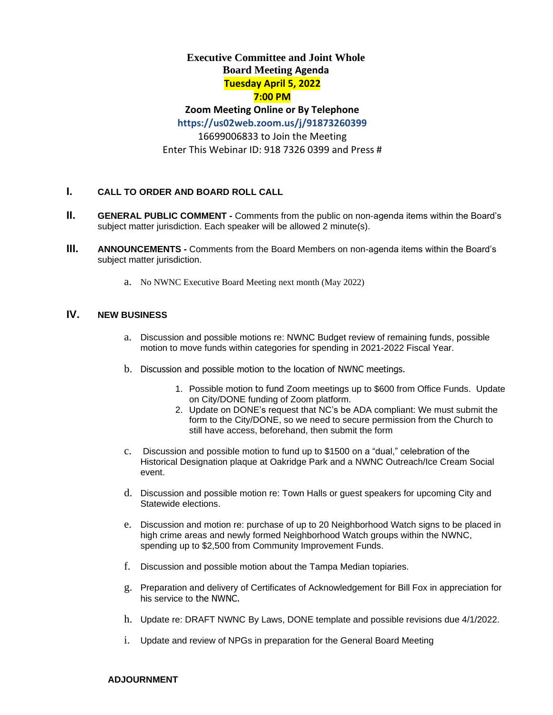# **Executive Committee and Joint Whole Board Meeting Agenda Tuesday April 5, 2022**

## **7:00 PM**

# **Zoom Meeting Online or By Telephone**

**https://us02web.zoom.us/j/91873260399**

16699006833 to Join the Meeting Enter This Webinar ID: 918 7326 0399 and Press #

## **I. CALL TO ORDER AND BOARD ROLL CALL**

- **II. GENERAL PUBLIC COMMENT** Comments from the public on non-agenda items within the Board's subject matter jurisdiction. Each speaker will be allowed 2 minute(s).
- **III. ANNOUNCEMENTS -** Comments from the Board Members on non-agenda items within the Board's subject matter jurisdiction.
	- a. No NWNC Executive Board Meeting next month (May 2022)

## **IV. NEW BUSINESS**

- a. Discussion and possible motions re: NWNC Budget review of remaining funds, possible motion to move funds within categories for spending in 2021-2022 Fiscal Year.
- b. Discussion and possible motion to the location of NWNC meetings.
	- 1. Possible motion to fund Zoom meetings up to \$600 from Office Funds. Update on City/DONE funding of Zoom platform.
	- 2. Update on DONE's request that NC's be ADA compliant: We must submit the form to the City/DONE, so we need to secure permission from the Church to still have access, beforehand, then submit the form
- c. Discussion and possible motion to fund up to \$1500 on a "dual," celebration of the Historical Designation plaque at Oakridge Park and a NWNC Outreach/Ice Cream Social event.
- d. Discussion and possible motion re: Town Halls or guest speakers for upcoming City and Statewide elections.
- e. Discussion and motion re: purchase of up to 20 Neighborhood Watch signs to be placed in high crime areas and newly formed Neighborhood Watch groups within the NWNC, spending up to \$2,500 from Community Improvement Funds.
- f. Discussion and possible motion about the Tampa Median topiaries.
- g. Preparation and delivery of Certificates of Acknowledgement for Bill Fox in appreciation for his service to the NWNC.
- h. Update re: DRAFT NWNC By Laws, DONE template and possible revisions due 4/1/2022.
- i. Update and review of NPGs in preparation for the General Board Meeting

#### **ADJOURNMENT**